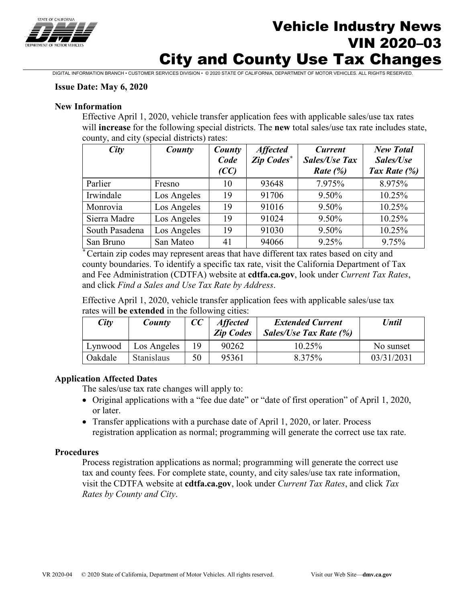

# Vehicle Industry News VIN 2020–03 City and County Use Tax Changes

DIGITAL INFORMATION BRANCH • CUSTOMER SERVICES DIVISION • © 2020 STATE OF CALIFORNIA, DEPARTMENT OF MOTOR VEHICLES. ALL RIGHTS RESERVED.

### **Issue Date: May 6, 2020**

### **New Information**

Effective April 1, 2020, vehicle transfer application fees with applicable sales/use tax rates will **increase** for the following special districts. The **new** total sales/use tax rate includes state, county, and city (special districts) rates:

| City           | County      | County<br>Code<br>$\mathcal{C}C$ | <b>Affected</b><br>Zip Codes* | <b>Current</b><br><b>Sales/Use Tax</b><br>Rate $(\%)$ | <b>New Total</b><br>Sales/Use<br>Tax Rate (%) |
|----------------|-------------|----------------------------------|-------------------------------|-------------------------------------------------------|-----------------------------------------------|
| Parlier        | Fresno      | 10                               | 93648                         | 7.975%                                                | 8.975%                                        |
| Irwindale      | Los Angeles | 19                               | 91706                         | 9.50%                                                 | 10.25%                                        |
| Monrovia       | Los Angeles | 19                               | 91016                         | 9.50%                                                 | 10.25%                                        |
| Sierra Madre   | Los Angeles | 19                               | 91024                         | 9.50%                                                 | 10.25%                                        |
| South Pasadena | Los Angeles | 19                               | 91030                         | 9.50%                                                 | 10.25%                                        |
| San Bruno      | San Mateo   | 41                               | 94066                         | 9.25%                                                 | 9.75%                                         |

*\** Certain zip codes may represent areas that have different tax rates based on city and county boundaries. To identify a specific tax rate, visit the California Department of Tax and Fee Administration (CDTFA) website at **cdtfa.ca.gov**, look under *Current Tax Rates*, and click *Find a Sales and Use Tax Rate by Address*.

Effective April 1, 2020, vehicle transfer application fees with applicable sales/use tax rates will **be extended** in the following cities:

| City    | County            | CC | <b>Affected</b><br><b>Zip Codes</b> | <b>Extended Current</b><br>Sales/Use Tax Rate (%) | Until      |
|---------|-------------------|----|-------------------------------------|---------------------------------------------------|------------|
| Lynwood | Los Angeles       | 19 | 90262                               | 10.25%                                            | No sunset  |
| Oakdale | <b>Stanislaus</b> | 50 | 95361                               | 8.375%                                            | 03/31/2031 |

### **Application Affected Dates**

The sales/use tax rate changes will apply to:

- Original applications with a "fee due date" or "date of first operation" of April 1, 2020, or later.
- Transfer applications with a purchase date of April 1, 2020, or later. Process registration application as normal; programming will generate the correct use tax rate.

### **Procedures**

Process registration applications as normal; programming will generate the correct use tax and county fees. For complete state, county, and city sales/use tax rate information, visit the CDTFA website at **cdtfa.ca.gov**, look under *Current Tax Rates*, and click *Tax Rates by County and City*.